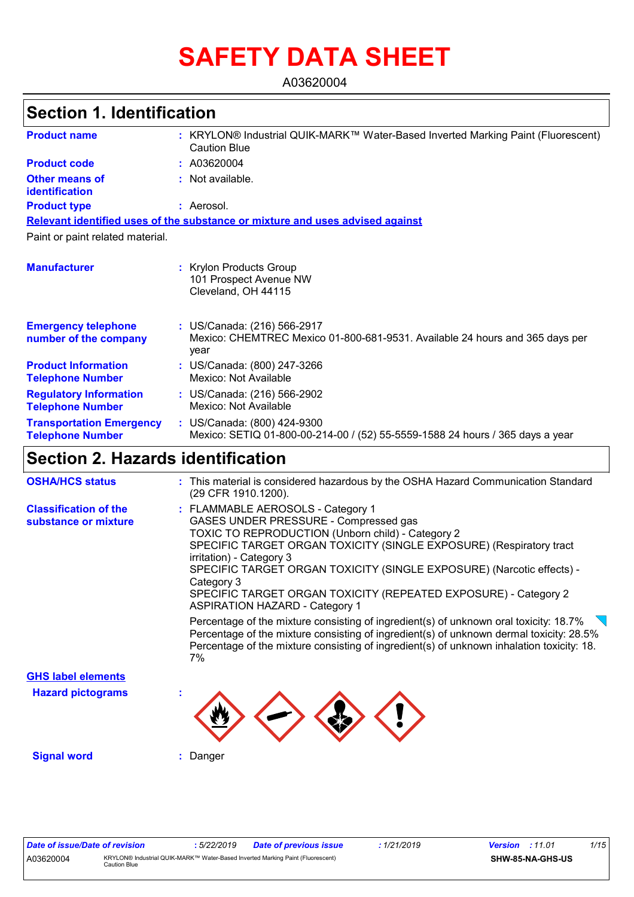# **SAFETY DATA SHEET**

A03620004

# **Section 1. Identification**

| <b>Product name</b>                                        | : KRYLON® Industrial QUIK-MARK™ Water-Based Inverted Marking Paint (Fluorescent)<br><b>Caution Blue</b>             |  |  |  |
|------------------------------------------------------------|---------------------------------------------------------------------------------------------------------------------|--|--|--|
| <b>Product code</b>                                        | : A03620004                                                                                                         |  |  |  |
| <b>Other means of</b><br><b>identification</b>             | : Not available.                                                                                                    |  |  |  |
| <b>Product type</b>                                        | : Aerosol.                                                                                                          |  |  |  |
|                                                            | Relevant identified uses of the substance or mixture and uses advised against                                       |  |  |  |
| Paint or paint related material.                           |                                                                                                                     |  |  |  |
| <b>Manufacturer</b>                                        | : Krylon Products Group<br>101 Prospect Avenue NW<br>Cleveland, OH 44115                                            |  |  |  |
| <b>Emergency telephone</b><br>number of the company        | : US/Canada: (216) 566-2917<br>Mexico: CHEMTREC Mexico 01-800-681-9531. Available 24 hours and 365 days per<br>year |  |  |  |
| <b>Product Information</b><br><b>Telephone Number</b>      | : US/Canada: (800) 247-3266<br>Mexico: Not Available                                                                |  |  |  |
| <b>Regulatory Information</b><br><b>Telephone Number</b>   | : US/Canada: (216) 566-2902<br>Mexico: Not Available                                                                |  |  |  |
| <b>Transportation Emergency</b><br><b>Telephone Number</b> | : US/Canada: (800) 424-9300<br>Mexico: SETIQ 01-800-00-214-00 / (52) 55-5559-1588 24 hours / 365 days a year        |  |  |  |

# **Section 2. Hazards identification**

| <b>OSHA/HCS status</b>                               | : This material is considered hazardous by the OSHA Hazard Communication Standard<br>(29 CFR 1910.1200).                                                                                                                                                                                                                                                                                                                                                                                                                                                                                                                                                                                                                     |
|------------------------------------------------------|------------------------------------------------------------------------------------------------------------------------------------------------------------------------------------------------------------------------------------------------------------------------------------------------------------------------------------------------------------------------------------------------------------------------------------------------------------------------------------------------------------------------------------------------------------------------------------------------------------------------------------------------------------------------------------------------------------------------------|
| <b>Classification of the</b><br>substance or mixture | : FLAMMABLE AEROSOLS - Category 1<br>GASES UNDER PRESSURE - Compressed gas<br>TOXIC TO REPRODUCTION (Unborn child) - Category 2<br>SPECIFIC TARGET ORGAN TOXICITY (SINGLE EXPOSURE) (Respiratory tract<br>irritation) - Category 3<br>SPECIFIC TARGET ORGAN TOXICITY (SINGLE EXPOSURE) (Narcotic effects) -<br>Category 3<br>SPECIFIC TARGET ORGAN TOXICITY (REPEATED EXPOSURE) - Category 2<br><b>ASPIRATION HAZARD - Category 1</b><br>Percentage of the mixture consisting of ingredient(s) of unknown oral toxicity: 18.7%<br>Percentage of the mixture consisting of ingredient(s) of unknown dermal toxicity: 28.5%<br>Percentage of the mixture consisting of ingredient(s) of unknown inhalation toxicity: 18.<br>7% |
| <b>GHS label elements</b>                            |                                                                                                                                                                                                                                                                                                                                                                                                                                                                                                                                                                                                                                                                                                                              |
| <b>Hazard pictograms</b>                             |                                                                                                                                                                                                                                                                                                                                                                                                                                                                                                                                                                                                                                                                                                                              |
| <b>Signal word</b>                                   | Danger                                                                                                                                                                                                                                                                                                                                                                                                                                                                                                                                                                                                                                                                                                                       |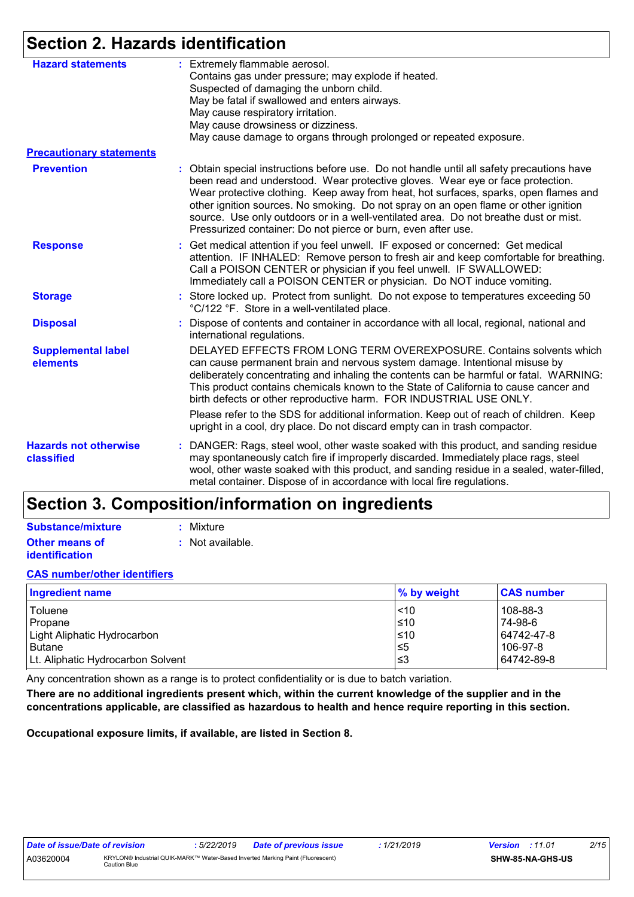# **Section 2. Hazards identification**

| <b>Hazard statements</b>                   | : Extremely flammable aerosol.                                                                                                                                                                                                                                                                                                                                                                                                                                                                                      |  |  |  |
|--------------------------------------------|---------------------------------------------------------------------------------------------------------------------------------------------------------------------------------------------------------------------------------------------------------------------------------------------------------------------------------------------------------------------------------------------------------------------------------------------------------------------------------------------------------------------|--|--|--|
|                                            | Contains gas under pressure; may explode if heated.                                                                                                                                                                                                                                                                                                                                                                                                                                                                 |  |  |  |
|                                            | Suspected of damaging the unborn child.                                                                                                                                                                                                                                                                                                                                                                                                                                                                             |  |  |  |
|                                            | May be fatal if swallowed and enters airways.                                                                                                                                                                                                                                                                                                                                                                                                                                                                       |  |  |  |
|                                            | May cause respiratory irritation.                                                                                                                                                                                                                                                                                                                                                                                                                                                                                   |  |  |  |
|                                            | May cause drowsiness or dizziness.                                                                                                                                                                                                                                                                                                                                                                                                                                                                                  |  |  |  |
|                                            | May cause damage to organs through prolonged or repeated exposure.                                                                                                                                                                                                                                                                                                                                                                                                                                                  |  |  |  |
| <b>Precautionary statements</b>            |                                                                                                                                                                                                                                                                                                                                                                                                                                                                                                                     |  |  |  |
| <b>Prevention</b>                          | : Obtain special instructions before use. Do not handle until all safety precautions have<br>been read and understood. Wear protective gloves. Wear eye or face protection.<br>Wear protective clothing. Keep away from heat, hot surfaces, sparks, open flames and<br>other ignition sources. No smoking. Do not spray on an open flame or other ignition<br>source. Use only outdoors or in a well-ventilated area. Do not breathe dust or mist.<br>Pressurized container: Do not pierce or burn, even after use. |  |  |  |
| <b>Response</b>                            | : Get medical attention if you feel unwell. IF exposed or concerned: Get medical<br>attention. IF INHALED: Remove person to fresh air and keep comfortable for breathing.<br>Call a POISON CENTER or physician if you feel unwell. IF SWALLOWED:<br>Immediately call a POISON CENTER or physician. Do NOT induce vomiting.                                                                                                                                                                                          |  |  |  |
| <b>Storage</b>                             | : Store locked up. Protect from sunlight. Do not expose to temperatures exceeding 50<br>°C/122 °F. Store in a well-ventilated place.                                                                                                                                                                                                                                                                                                                                                                                |  |  |  |
| <b>Disposal</b>                            | : Dispose of contents and container in accordance with all local, regional, national and<br>international regulations.                                                                                                                                                                                                                                                                                                                                                                                              |  |  |  |
| <b>Supplemental label</b><br>elements      | DELAYED EFFECTS FROM LONG TERM OVEREXPOSURE. Contains solvents which<br>can cause permanent brain and nervous system damage. Intentional misuse by<br>deliberately concentrating and inhaling the contents can be harmful or fatal. WARNING:<br>This product contains chemicals known to the State of California to cause cancer and<br>birth defects or other reproductive harm. FOR INDUSTRIAL USE ONLY.                                                                                                          |  |  |  |
|                                            | Please refer to the SDS for additional information. Keep out of reach of children. Keep<br>upright in a cool, dry place. Do not discard empty can in trash compactor.                                                                                                                                                                                                                                                                                                                                               |  |  |  |
| <b>Hazards not otherwise</b><br>classified | : DANGER: Rags, steel wool, other waste soaked with this product, and sanding residue<br>may spontaneously catch fire if improperly discarded. Immediately place rags, steel<br>wool, other waste soaked with this product, and sanding residue in a sealed, water-filled,<br>metal container. Dispose of in accordance with local fire regulations.                                                                                                                                                                |  |  |  |

# **Section 3. Composition/information on ingredients**

| Substance/mixture     | : Mixture        |
|-----------------------|------------------|
| <b>Other means of</b> | : Not available. |
| <b>identification</b> |                  |

### **CAS number/other identifiers**

| <b>Ingredient name</b>            | % by weight | <b>CAS number</b> |
|-----------------------------------|-------------|-------------------|
| Toluene                           | $ $ < 10    | 108-88-3          |
| Propane                           | $≤10$       | 74-98-6           |
| Light Aliphatic Hydrocarbon       | $≤10$       | 64742-47-8        |
| <b>Butane</b>                     | $\leq 5$    | 106-97-8          |
| Lt. Aliphatic Hydrocarbon Solvent | צ≥          | 64742-89-8        |

Any concentration shown as a range is to protect confidentiality or is due to batch variation.

**There are no additional ingredients present which, within the current knowledge of the supplier and in the concentrations applicable, are classified as hazardous to health and hence require reporting in this section.**

**Occupational exposure limits, if available, are listed in Section 8.**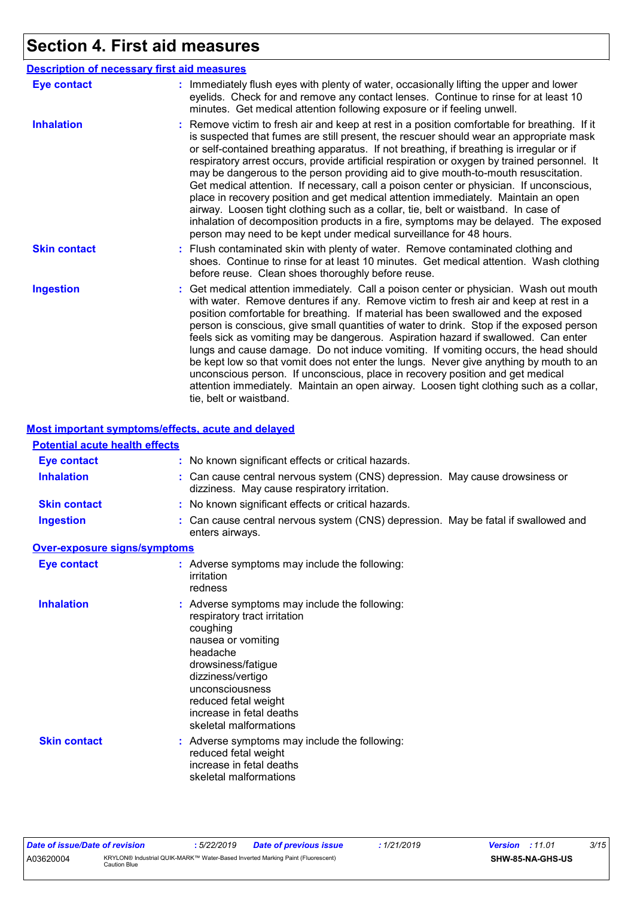# **Section 4. First aid measures**

|                     | <b>Description of necessary first aid measures</b>                                                                                                                                                                                                                                                                                                                                                                                                                                                                                                                                                                                                                                                                                                                                                                                                                                                             |
|---------------------|----------------------------------------------------------------------------------------------------------------------------------------------------------------------------------------------------------------------------------------------------------------------------------------------------------------------------------------------------------------------------------------------------------------------------------------------------------------------------------------------------------------------------------------------------------------------------------------------------------------------------------------------------------------------------------------------------------------------------------------------------------------------------------------------------------------------------------------------------------------------------------------------------------------|
| <b>Eye contact</b>  | : Immediately flush eyes with plenty of water, occasionally lifting the upper and lower<br>eyelids. Check for and remove any contact lenses. Continue to rinse for at least 10<br>minutes. Get medical attention following exposure or if feeling unwell.                                                                                                                                                                                                                                                                                                                                                                                                                                                                                                                                                                                                                                                      |
| <b>Inhalation</b>   | : Remove victim to fresh air and keep at rest in a position comfortable for breathing. If it<br>is suspected that fumes are still present, the rescuer should wear an appropriate mask<br>or self-contained breathing apparatus. If not breathing, if breathing is irregular or if<br>respiratory arrest occurs, provide artificial respiration or oxygen by trained personnel. It<br>may be dangerous to the person providing aid to give mouth-to-mouth resuscitation.<br>Get medical attention. If necessary, call a poison center or physician. If unconscious,<br>place in recovery position and get medical attention immediately. Maintain an open<br>airway. Loosen tight clothing such as a collar, tie, belt or waistband. In case of<br>inhalation of decomposition products in a fire, symptoms may be delayed. The exposed<br>person may need to be kept under medical surveillance for 48 hours. |
| <b>Skin contact</b> | : Flush contaminated skin with plenty of water. Remove contaminated clothing and<br>shoes. Continue to rinse for at least 10 minutes. Get medical attention. Wash clothing<br>before reuse. Clean shoes thoroughly before reuse.                                                                                                                                                                                                                                                                                                                                                                                                                                                                                                                                                                                                                                                                               |
| <b>Ingestion</b>    | : Get medical attention immediately. Call a poison center or physician. Wash out mouth<br>with water. Remove dentures if any. Remove victim to fresh air and keep at rest in a<br>position comfortable for breathing. If material has been swallowed and the exposed<br>person is conscious, give small quantities of water to drink. Stop if the exposed person<br>feels sick as vomiting may be dangerous. Aspiration hazard if swallowed. Can enter<br>lungs and cause damage. Do not induce vomiting. If vomiting occurs, the head should<br>be kept low so that vomit does not enter the lungs. Never give anything by mouth to an<br>unconscious person. If unconscious, place in recovery position and get medical<br>attention immediately. Maintain an open airway. Loosen tight clothing such as a collar,<br>tie, belt or waistband.                                                                |

### **Most important symptoms/effects, acute and delayed**

| <b>Potential acute health effects</b> |                                                                                                                                                                                                                                                                         |
|---------------------------------------|-------------------------------------------------------------------------------------------------------------------------------------------------------------------------------------------------------------------------------------------------------------------------|
| <b>Eye contact</b>                    | : No known significant effects or critical hazards.                                                                                                                                                                                                                     |
| <b>Inhalation</b>                     | : Can cause central nervous system (CNS) depression. May cause drowsiness or<br>dizziness. May cause respiratory irritation.                                                                                                                                            |
| <b>Skin contact</b>                   | : No known significant effects or critical hazards.                                                                                                                                                                                                                     |
| <b>Ingestion</b>                      | : Can cause central nervous system (CNS) depression. May be fatal if swallowed and<br>enters airways.                                                                                                                                                                   |
| Over-exposure signs/symptoms          |                                                                                                                                                                                                                                                                         |
| <b>Eye contact</b>                    | : Adverse symptoms may include the following:<br>irritation<br>redness                                                                                                                                                                                                  |
| <b>Inhalation</b>                     | : Adverse symptoms may include the following:<br>respiratory tract irritation<br>coughing<br>nausea or vomiting<br>headache<br>drowsiness/fatigue<br>dizziness/vertigo<br>unconsciousness<br>reduced fetal weight<br>increase in fetal deaths<br>skeletal malformations |
| <b>Skin contact</b>                   | : Adverse symptoms may include the following:<br>reduced fetal weight<br>increase in fetal deaths<br>skeletal malformations                                                                                                                                             |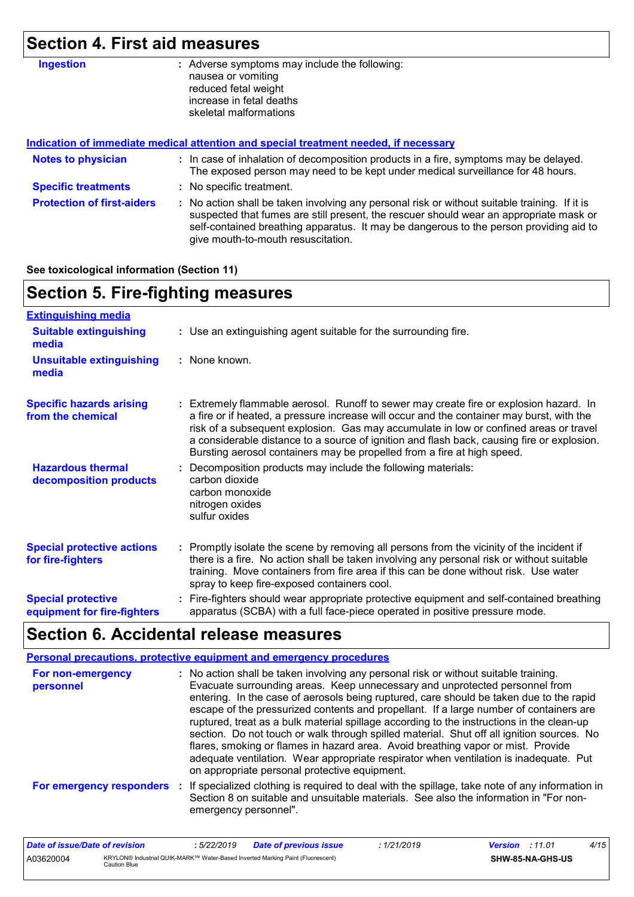# **Section 4. First aid measures**

| <b>Ingestion</b>                  | : Adverse symptoms may include the following:<br>nausea or vomiting<br>reduced fetal weight<br>increase in fetal deaths<br>skeletal malformations                                                                                                                                                                       |  |  |  |
|-----------------------------------|-------------------------------------------------------------------------------------------------------------------------------------------------------------------------------------------------------------------------------------------------------------------------------------------------------------------------|--|--|--|
|                                   | Indication of immediate medical attention and special treatment needed, if necessary                                                                                                                                                                                                                                    |  |  |  |
| <b>Notes to physician</b>         | : In case of inhalation of decomposition products in a fire, symptoms may be delayed.<br>The exposed person may need to be kept under medical surveillance for 48 hours.                                                                                                                                                |  |  |  |
| <b>Specific treatments</b>        | : No specific treatment.                                                                                                                                                                                                                                                                                                |  |  |  |
| <b>Protection of first-aiders</b> | : No action shall be taken involving any personal risk or without suitable training. If it is<br>suspected that fumes are still present, the rescuer should wear an appropriate mask or<br>self-contained breathing apparatus. It may be dangerous to the person providing aid to<br>give mouth-to-mouth resuscitation. |  |  |  |

**See toxicological information (Section 11)**

| <b>Section 5. Fire-fighting measures</b>                 |                                                                                                                                                                                                                                                                                                                                                                                                                                                     |  |  |  |  |
|----------------------------------------------------------|-----------------------------------------------------------------------------------------------------------------------------------------------------------------------------------------------------------------------------------------------------------------------------------------------------------------------------------------------------------------------------------------------------------------------------------------------------|--|--|--|--|
| <b>Extinguishing media</b>                               |                                                                                                                                                                                                                                                                                                                                                                                                                                                     |  |  |  |  |
| <b>Suitable extinguishing</b><br>media                   | : Use an extinguishing agent suitable for the surrounding fire.                                                                                                                                                                                                                                                                                                                                                                                     |  |  |  |  |
| <b>Unsuitable extinguishing</b><br>media                 | : None known.                                                                                                                                                                                                                                                                                                                                                                                                                                       |  |  |  |  |
| <b>Specific hazards arising</b><br>from the chemical     | Extremely flammable aerosol. Runoff to sewer may create fire or explosion hazard. In<br>a fire or if heated, a pressure increase will occur and the container may burst, with the<br>risk of a subsequent explosion. Gas may accumulate in low or confined areas or travel<br>a considerable distance to a source of ignition and flash back, causing fire or explosion.<br>Bursting aerosol containers may be propelled from a fire at high speed. |  |  |  |  |
| <b>Hazardous thermal</b><br>decomposition products       | Decomposition products may include the following materials:<br>carbon dioxide<br>carbon monoxide<br>nitrogen oxides<br>sulfur oxides                                                                                                                                                                                                                                                                                                                |  |  |  |  |
| <b>Special protective actions</b><br>for fire-fighters   | : Promptly isolate the scene by removing all persons from the vicinity of the incident if<br>there is a fire. No action shall be taken involving any personal risk or without suitable<br>training. Move containers from fire area if this can be done without risk. Use water<br>spray to keep fire-exposed containers cool.                                                                                                                       |  |  |  |  |
| <b>Special protective</b><br>equipment for fire-fighters | Fire-fighters should wear appropriate protective equipment and self-contained breathing<br>apparatus (SCBA) with a full face-piece operated in positive pressure mode.                                                                                                                                                                                                                                                                              |  |  |  |  |

# **Section 6. Accidental release measures**

|                                | <b>Personal precautions, protective equipment and emergency procedures</b>                                                                                                                                                                                                                                                                                                                                                                                                                                                                                                                                                                                                                                                                                                       |
|--------------------------------|----------------------------------------------------------------------------------------------------------------------------------------------------------------------------------------------------------------------------------------------------------------------------------------------------------------------------------------------------------------------------------------------------------------------------------------------------------------------------------------------------------------------------------------------------------------------------------------------------------------------------------------------------------------------------------------------------------------------------------------------------------------------------------|
| For non-emergency<br>personnel | : No action shall be taken involving any personal risk or without suitable training.<br>Evacuate surrounding areas. Keep unnecessary and unprotected personnel from<br>entering. In the case of aerosols being ruptured, care should be taken due to the rapid<br>escape of the pressurized contents and propellant. If a large number of containers are<br>ruptured, treat as a bulk material spillage according to the instructions in the clean-up<br>section. Do not touch or walk through spilled material. Shut off all ignition sources. No<br>flares, smoking or flames in hazard area. Avoid breathing vapor or mist. Provide<br>adequate ventilation. Wear appropriate respirator when ventilation is inadequate. Put<br>on appropriate personal protective equipment. |
|                                | For emergency responders : If specialized clothing is required to deal with the spillage, take note of any information in<br>Section 8 on suitable and unsuitable materials. See also the information in "For non-<br>emergency personnel".                                                                                                                                                                                                                                                                                                                                                                                                                                                                                                                                      |

| Date of issue/Date of revision |                                                                                                | : 5/22/2019 | Date of previous issue | : 1/21/2019 | <b>Version</b> : 11.01 |                         | 4/15 |
|--------------------------------|------------------------------------------------------------------------------------------------|-------------|------------------------|-------------|------------------------|-------------------------|------|
| A03620004                      | KRYLON® Industrial QUIK-MARK™ Water-Based Inverted Marking Paint (Fluorescent)<br>Caution Blue |             |                        |             |                        | <b>SHW-85-NA-GHS-US</b> |      |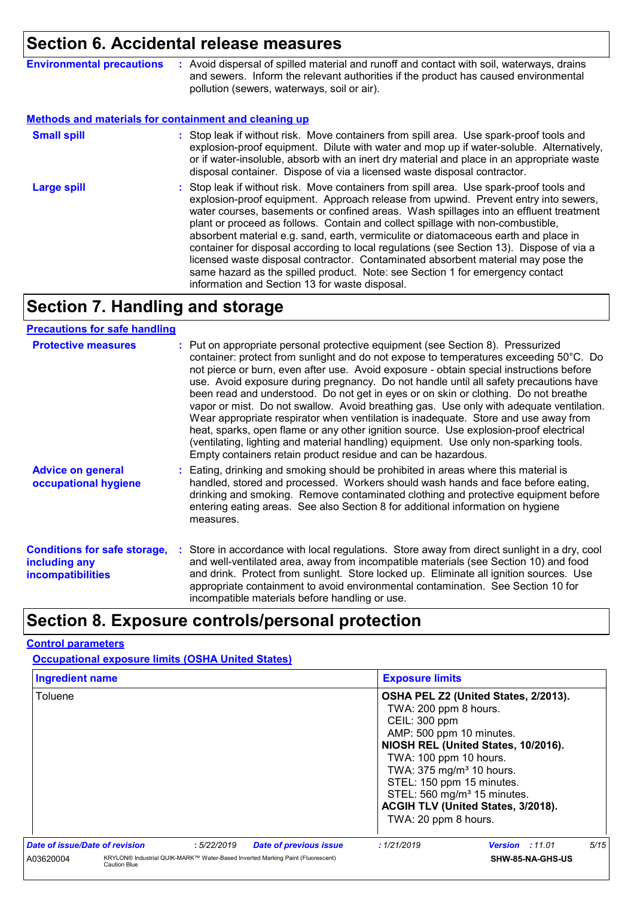# **Section 6. Accidental release measures**

| <b>Environmental precautions</b> | Avoid dispersal of spilled material and runoff and contact with soil, waterways, drains<br>and sewers. Inform the relevant authorities if the product has caused environmental<br>pollution (sewers, waterways, soil or air). |
|----------------------------------|-------------------------------------------------------------------------------------------------------------------------------------------------------------------------------------------------------------------------------|
|                                  |                                                                                                                                                                                                                               |

#### **Methods and materials for containment and cleaning up**

| <b>Small spill</b> | : Stop leak if without risk. Move containers from spill area. Use spark-proof tools and<br>explosion-proof equipment. Dilute with water and mop up if water-soluble. Alternatively,<br>or if water-insoluble, absorb with an inert dry material and place in an appropriate waste<br>disposal container. Dispose of via a licensed waste disposal contractor.                                                                                                                                                                                                                                                                                                                                                                                                        |
|--------------------|----------------------------------------------------------------------------------------------------------------------------------------------------------------------------------------------------------------------------------------------------------------------------------------------------------------------------------------------------------------------------------------------------------------------------------------------------------------------------------------------------------------------------------------------------------------------------------------------------------------------------------------------------------------------------------------------------------------------------------------------------------------------|
| <b>Large spill</b> | : Stop leak if without risk. Move containers from spill area. Use spark-proof tools and<br>explosion-proof equipment. Approach release from upwind. Prevent entry into sewers,<br>water courses, basements or confined areas. Wash spillages into an effluent treatment<br>plant or proceed as follows. Contain and collect spillage with non-combustible,<br>absorbent material e.g. sand, earth, vermiculite or diatomaceous earth and place in<br>container for disposal according to local regulations (see Section 13). Dispose of via a<br>licensed waste disposal contractor. Contaminated absorbent material may pose the<br>same hazard as the spilled product. Note: see Section 1 for emergency contact<br>information and Section 13 for waste disposal. |

# **Section 7. Handling and storage**

#### **Precautions for safe handling**

| <b>Protective measures</b>                                                       | : Put on appropriate personal protective equipment (see Section 8). Pressurized<br>container: protect from sunlight and do not expose to temperatures exceeding 50°C. Do<br>not pierce or burn, even after use. Avoid exposure - obtain special instructions before<br>use. Avoid exposure during pregnancy. Do not handle until all safety precautions have<br>been read and understood. Do not get in eyes or on skin or clothing. Do not breathe<br>vapor or mist. Do not swallow. Avoid breathing gas. Use only with adequate ventilation.<br>Wear appropriate respirator when ventilation is inadequate. Store and use away from<br>heat, sparks, open flame or any other ignition source. Use explosion-proof electrical<br>(ventilating, lighting and material handling) equipment. Use only non-sparking tools.<br>Empty containers retain product residue and can be hazardous. |
|----------------------------------------------------------------------------------|------------------------------------------------------------------------------------------------------------------------------------------------------------------------------------------------------------------------------------------------------------------------------------------------------------------------------------------------------------------------------------------------------------------------------------------------------------------------------------------------------------------------------------------------------------------------------------------------------------------------------------------------------------------------------------------------------------------------------------------------------------------------------------------------------------------------------------------------------------------------------------------|
| <b>Advice on general</b><br>occupational hygiene                                 | : Eating, drinking and smoking should be prohibited in areas where this material is<br>handled, stored and processed. Workers should wash hands and face before eating,<br>drinking and smoking. Remove contaminated clothing and protective equipment before<br>entering eating areas. See also Section 8 for additional information on hygiene<br>measures.                                                                                                                                                                                                                                                                                                                                                                                                                                                                                                                            |
| <b>Conditions for safe storage,</b><br>including any<br><b>incompatibilities</b> | : Store in accordance with local regulations. Store away from direct sunlight in a dry, cool<br>and well-ventilated area, away from incompatible materials (see Section 10) and food<br>and drink. Protect from sunlight. Store locked up. Eliminate all ignition sources. Use<br>appropriate containment to avoid environmental contamination. See Section 10 for<br>incompatible materials before handling or use.                                                                                                                                                                                                                                                                                                                                                                                                                                                                     |

## **Section 8. Exposure controls/personal protection**

### **Control parameters**

**Occupational exposure limits (OSHA United States)**

| <b>Ingredient name</b>         |                     |            |                                                                                | <b>Exposure limits</b>                                                                                                                                                                    |                                                                                                                                                              |      |
|--------------------------------|---------------------|------------|--------------------------------------------------------------------------------|-------------------------------------------------------------------------------------------------------------------------------------------------------------------------------------------|--------------------------------------------------------------------------------------------------------------------------------------------------------------|------|
| Toluene                        |                     |            |                                                                                | TWA: 200 ppm 8 hours.<br>CEIL: 300 ppm<br>AMP: 500 ppm 10 minutes.<br>TWA: 100 ppm 10 hours.<br>TWA: 375 mg/m <sup>3</sup> 10 hours.<br>STEL: 150 ppm 15 minutes.<br>TWA: 20 ppm 8 hours. | OSHA PEL Z2 (United States, 2/2013).<br>NIOSH REL (United States, 10/2016).<br>STEL: 560 mg/m <sup>3</sup> 15 minutes.<br>ACGIH TLV (United States, 3/2018). |      |
| Date of issue/Date of revision |                     | :5/22/2019 | <b>Date of previous issue</b>                                                  | :1/21/2019                                                                                                                                                                                | <b>Version</b> : 11.01                                                                                                                                       | 5/15 |
| A03620004                      | <b>Caution Blue</b> |            | KRYLON® Industrial QUIK-MARK™ Water-Based Inverted Marking Paint (Fluorescent) |                                                                                                                                                                                           | SHW-85-NA-GHS-US                                                                                                                                             |      |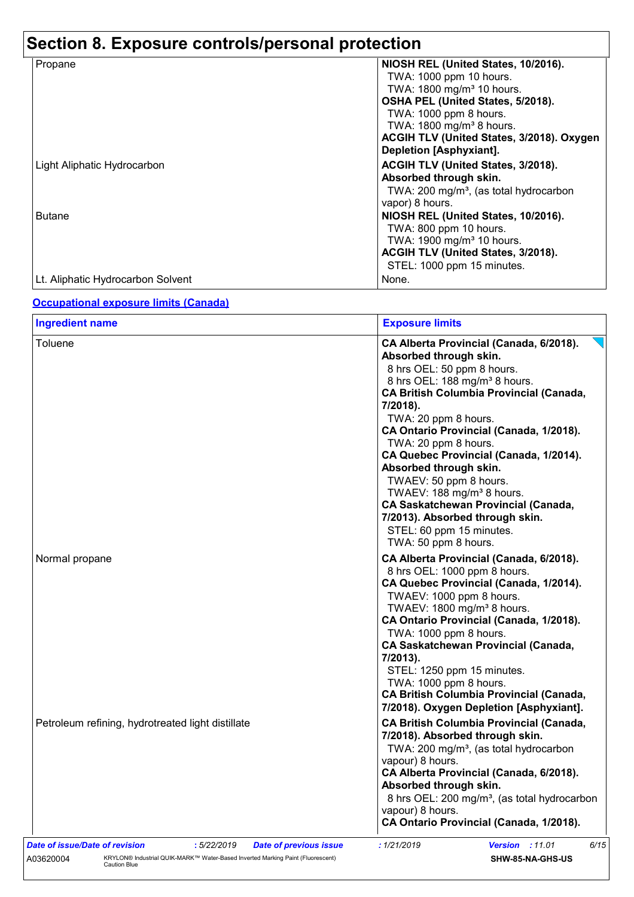# **Section 8. Exposure controls/personal protection**

| Propane                           | NIOSH REL (United States, 10/2016).                |
|-----------------------------------|----------------------------------------------------|
|                                   | TWA: 1000 ppm 10 hours.                            |
|                                   | TWA: 1800 mg/m <sup>3</sup> 10 hours.              |
|                                   | OSHA PEL (United States, 5/2018).                  |
|                                   | TWA: 1000 ppm 8 hours.                             |
|                                   |                                                    |
|                                   | TWA: 1800 mg/m <sup>3</sup> 8 hours.               |
|                                   | ACGIH TLV (United States, 3/2018). Oxygen          |
|                                   | Depletion [Asphyxiant].                            |
| Light Aliphatic Hydrocarbon       | ACGIH TLV (United States, 3/2018).                 |
|                                   | Absorbed through skin.                             |
|                                   | TWA: 200 mg/m <sup>3</sup> , (as total hydrocarbon |
|                                   | vapor) 8 hours.                                    |
| <b>Butane</b>                     | NIOSH REL (United States, 10/2016).                |
|                                   | TWA: 800 ppm 10 hours.                             |
|                                   | TWA: 1900 mg/m <sup>3</sup> 10 hours.              |
|                                   | ACGIH TLV (United States, 3/2018).                 |
|                                   | STEL: 1000 ppm 15 minutes.                         |
|                                   |                                                    |
| Lt. Aliphatic Hydrocarbon Solvent | None.                                              |

### **Occupational exposure limits (Canada)**

| <b>Ingredient name</b>                                                        | <b>Exposure limits</b>                                                                                                                                                                                                                                                                                                                                                                                                                                                                                                                                                     |
|-------------------------------------------------------------------------------|----------------------------------------------------------------------------------------------------------------------------------------------------------------------------------------------------------------------------------------------------------------------------------------------------------------------------------------------------------------------------------------------------------------------------------------------------------------------------------------------------------------------------------------------------------------------------|
| Toluene                                                                       | CA Alberta Provincial (Canada, 6/2018).<br>Absorbed through skin.<br>8 hrs OEL: 50 ppm 8 hours.<br>8 hrs OEL: 188 mg/m <sup>3</sup> 8 hours.<br><b>CA British Columbia Provincial (Canada,</b><br>7/2018).<br>TWA: 20 ppm 8 hours.<br>CA Ontario Provincial (Canada, 1/2018).<br>TWA: 20 ppm 8 hours.<br>CA Quebec Provincial (Canada, 1/2014).<br>Absorbed through skin.<br>TWAEV: 50 ppm 8 hours.<br>TWAEV: 188 mg/m <sup>3</sup> 8 hours.<br>CA Saskatchewan Provincial (Canada,<br>7/2013). Absorbed through skin.<br>STEL: 60 ppm 15 minutes.<br>TWA: 50 ppm 8 hours. |
| Normal propane                                                                | CA Alberta Provincial (Canada, 6/2018).<br>8 hrs OEL: 1000 ppm 8 hours.<br>CA Quebec Provincial (Canada, 1/2014).<br>TWAEV: 1000 ppm 8 hours.<br>TWAEV: 1800 mg/m <sup>3</sup> 8 hours.<br>CA Ontario Provincial (Canada, 1/2018).<br>TWA: 1000 ppm 8 hours.<br><b>CA Saskatchewan Provincial (Canada,</b><br>7/2013).<br>STEL: 1250 ppm 15 minutes.<br>TWA: 1000 ppm 8 hours.<br><b>CA British Columbia Provincial (Canada,</b><br>7/2018). Oxygen Depletion [Asphyxiant].                                                                                                |
| Petroleum refining, hydrotreated light distillate                             | <b>CA British Columbia Provincial (Canada,</b><br>7/2018). Absorbed through skin.<br>TWA: 200 mg/m <sup>3</sup> , (as total hydrocarbon<br>vapour) 8 hours.<br>CA Alberta Provincial (Canada, 6/2018).<br>Absorbed through skin.<br>8 hrs OEL: 200 mg/m <sup>3</sup> , (as total hydrocarbon<br>vapour) 8 hours.<br>CA Ontario Provincial (Canada, 1/2018).                                                                                                                                                                                                                |
| Date of issue/Date of revision<br>:5/22/2019<br><b>Date of previous issue</b> | 6/15<br>: 1/21/2019<br><b>Version : 11.01</b>                                                                                                                                                                                                                                                                                                                                                                                                                                                                                                                              |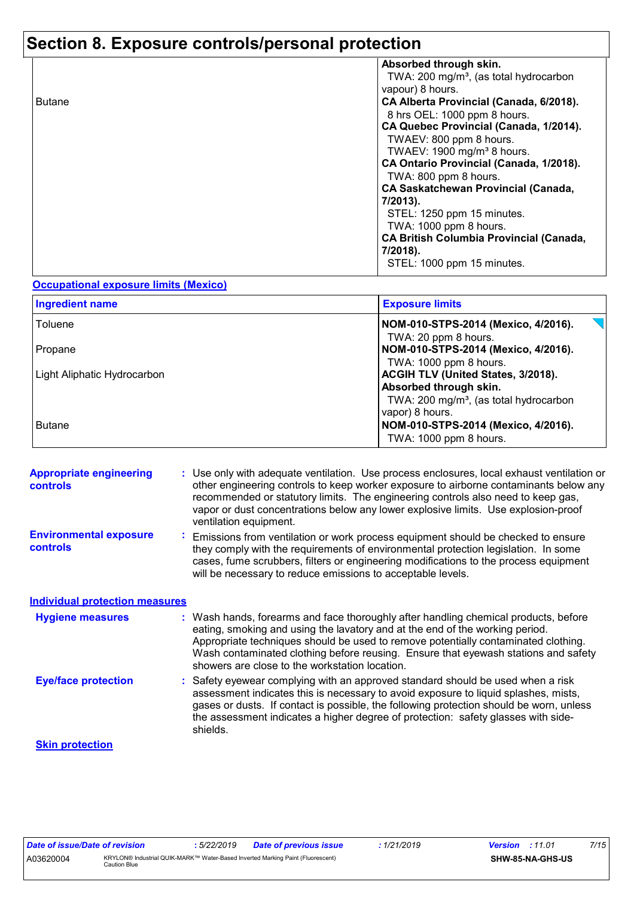# **Section 8. Exposure controls/personal protection**

|               | Absorbed through skin.                             |
|---------------|----------------------------------------------------|
|               | TWA: 200 mg/m <sup>3</sup> , (as total hydrocarbon |
|               | vapour) 8 hours.                                   |
| <b>Butane</b> | CA Alberta Provincial (Canada, 6/2018).            |
|               | 8 hrs OEL: 1000 ppm 8 hours.                       |
|               | CA Quebec Provincial (Canada, 1/2014).             |
|               | TWAEV: 800 ppm 8 hours.                            |
|               | TWAEV: 1900 mg/m <sup>3</sup> 8 hours.             |
|               | CA Ontario Provincial (Canada, 1/2018).            |
|               | TWA: 800 ppm 8 hours.                              |
|               | <b>CA Saskatchewan Provincial (Canada,</b>         |
|               | 7/2013).                                           |
|               | STEL: 1250 ppm 15 minutes.                         |
|               | TWA: 1000 ppm 8 hours.                             |
|               | <b>CA British Columbia Provincial (Canada,</b>     |
|               | 7/2018).                                           |
|               | STEL: 1000 ppm 15 minutes.                         |
|               |                                                    |

#### **Occupational exposure limits (Mexico)**

| <b>Ingredient name</b>      | <b>Exposure limits</b>                                                                                                                |
|-----------------------------|---------------------------------------------------------------------------------------------------------------------------------------|
| Toluene                     | NOM-010-STPS-2014 (Mexico, 4/2016).<br>TWA: 20 ppm 8 hours.                                                                           |
| Propane                     | NOM-010-STPS-2014 (Mexico, 4/2016).<br>TWA: 1000 ppm 8 hours.                                                                         |
| Light Aliphatic Hydrocarbon | ACGIH TLV (United States, 3/2018).<br>Absorbed through skin.<br>TWA: 200 mg/m <sup>3</sup> , (as total hydrocarbon<br>vapor) 8 hours. |
| <b>Butane</b>               | NOM-010-STPS-2014 (Mexico, 4/2016).<br>TWA: 1000 ppm 8 hours.                                                                         |

| <b>Appropriate engineering</b><br><b>controls</b> |                                                                                                                                                                                                                                                                                                                                                                    | : Use only with adequate ventilation. Use process enclosures, local exhaust ventilation or<br>other engineering controls to keep worker exposure to airborne contaminants below any<br>recommended or statutory limits. The engineering controls also need to keep gas,<br>vapor or dust concentrations below any lower explosive limits. Use explosion-proof<br>ventilation equipment.           |  |  |  |
|---------------------------------------------------|--------------------------------------------------------------------------------------------------------------------------------------------------------------------------------------------------------------------------------------------------------------------------------------------------------------------------------------------------------------------|---------------------------------------------------------------------------------------------------------------------------------------------------------------------------------------------------------------------------------------------------------------------------------------------------------------------------------------------------------------------------------------------------|--|--|--|
| <b>Environmental exposure</b><br><b>controls</b>  |                                                                                                                                                                                                                                                                                                                                                                    | Emissions from ventilation or work process equipment should be checked to ensure<br>they comply with the requirements of environmental protection legislation. In some<br>cases, fume scrubbers, filters or engineering modifications to the process equipment<br>will be necessary to reduce emissions to acceptable levels.                                                                     |  |  |  |
| <b>Individual protection measures</b>             |                                                                                                                                                                                                                                                                                                                                                                    |                                                                                                                                                                                                                                                                                                                                                                                                   |  |  |  |
| <b>Hygiene measures</b>                           |                                                                                                                                                                                                                                                                                                                                                                    | : Wash hands, forearms and face thoroughly after handling chemical products, before<br>eating, smoking and using the lavatory and at the end of the working period.<br>Appropriate techniques should be used to remove potentially contaminated clothing.<br>Wash contaminated clothing before reusing. Ensure that eyewash stations and safety<br>showers are close to the workstation location. |  |  |  |
| <b>Eye/face protection</b>                        | : Safety eyewear complying with an approved standard should be used when a risk<br>assessment indicates this is necessary to avoid exposure to liquid splashes, mists,<br>gases or dusts. If contact is possible, the following protection should be worn, unless<br>the assessment indicates a higher degree of protection: safety glasses with side-<br>shields. |                                                                                                                                                                                                                                                                                                                                                                                                   |  |  |  |
| <b>Skin protection</b>                            |                                                                                                                                                                                                                                                                                                                                                                    |                                                                                                                                                                                                                                                                                                                                                                                                   |  |  |  |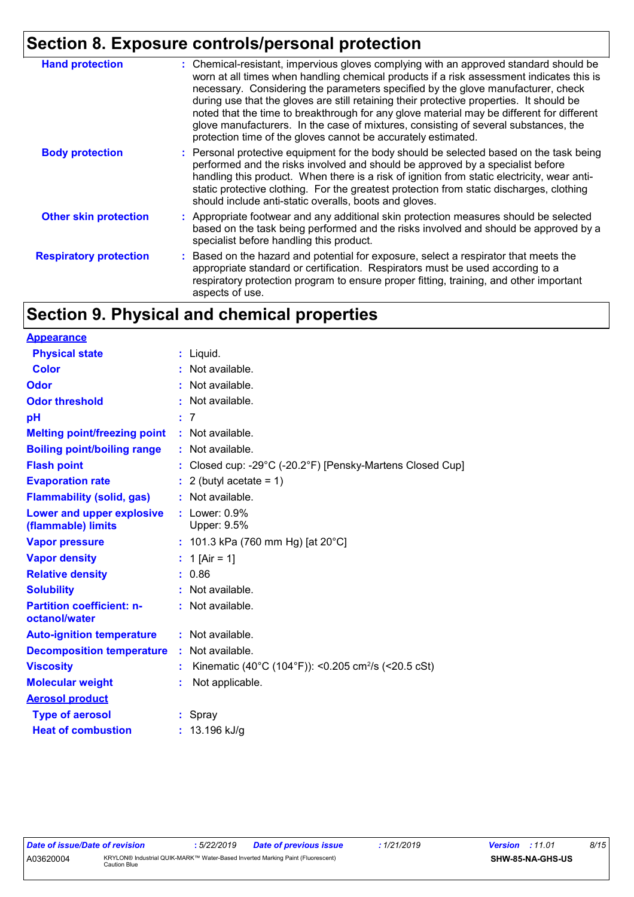# **Section 8. Exposure controls/personal protection**

| <b>Hand protection</b>        | : Chemical-resistant, impervious gloves complying with an approved standard should be<br>worn at all times when handling chemical products if a risk assessment indicates this is<br>necessary. Considering the parameters specified by the glove manufacturer, check<br>during use that the gloves are still retaining their protective properties. It should be<br>noted that the time to breakthrough for any glove material may be different for different<br>glove manufacturers. In the case of mixtures, consisting of several substances, the<br>protection time of the gloves cannot be accurately estimated. |
|-------------------------------|------------------------------------------------------------------------------------------------------------------------------------------------------------------------------------------------------------------------------------------------------------------------------------------------------------------------------------------------------------------------------------------------------------------------------------------------------------------------------------------------------------------------------------------------------------------------------------------------------------------------|
| <b>Body protection</b>        | : Personal protective equipment for the body should be selected based on the task being<br>performed and the risks involved and should be approved by a specialist before<br>handling this product. When there is a risk of ignition from static electricity, wear anti-<br>static protective clothing. For the greatest protection from static discharges, clothing<br>should include anti-static overalls, boots and gloves.                                                                                                                                                                                         |
| <b>Other skin protection</b>  | : Appropriate footwear and any additional skin protection measures should be selected<br>based on the task being performed and the risks involved and should be approved by a<br>specialist before handling this product.                                                                                                                                                                                                                                                                                                                                                                                              |
| <b>Respiratory protection</b> | : Based on the hazard and potential for exposure, select a respirator that meets the<br>appropriate standard or certification. Respirators must be used according to a<br>respiratory protection program to ensure proper fitting, training, and other important<br>aspects of use.                                                                                                                                                                                                                                                                                                                                    |

# **Section 9. Physical and chemical properties**

| <b>Appearance</b>                                 |                                                                 |
|---------------------------------------------------|-----------------------------------------------------------------|
| <b>Physical state</b>                             | $:$ Liquid.                                                     |
| <b>Color</b>                                      | : Not available.                                                |
| <b>Odor</b>                                       | : Not available.                                                |
| <b>Odor threshold</b>                             | : Not available.                                                |
| рH                                                | :7                                                              |
| <b>Melting point/freezing point</b>               | : Not available.                                                |
| <b>Boiling point/boiling range</b>                | Not available.                                                  |
| <b>Flash point</b>                                | Closed cup: -29°C (-20.2°F) [Pensky-Martens Closed Cup]         |
| <b>Evaporation rate</b>                           | $: 2$ (butyl acetate = 1)                                       |
| <b>Flammability (solid, gas)</b>                  | : Not available.                                                |
| Lower and upper explosive<br>(flammable) limits   | $:$ Lower: $0.9\%$<br>Upper: 9.5%                               |
| <b>Vapor pressure</b>                             | : 101.3 kPa (760 mm Hg) [at 20°C]                               |
| <b>Vapor density</b>                              | : 1 [Air = 1]                                                   |
| <b>Relative density</b>                           | : 0.86                                                          |
| <b>Solubility</b>                                 | $:$ Not available.                                              |
| <b>Partition coefficient: n-</b><br>octanol/water | : Not available.                                                |
| <b>Auto-ignition temperature</b>                  | : Not available.                                                |
| <b>Decomposition temperature</b>                  | Not available.                                                  |
| <b>Viscosity</b>                                  | Kinematic (40°C (104°F)): <0.205 cm <sup>2</sup> /s (<20.5 cSt) |
| <b>Molecular weight</b>                           | Not applicable.                                                 |
| <b>Aerosol product</b>                            |                                                                 |
| <b>Type of aerosol</b>                            | : Spray                                                         |
| <b>Heat of combustion</b>                         | $: 13.196$ kJ/g                                                 |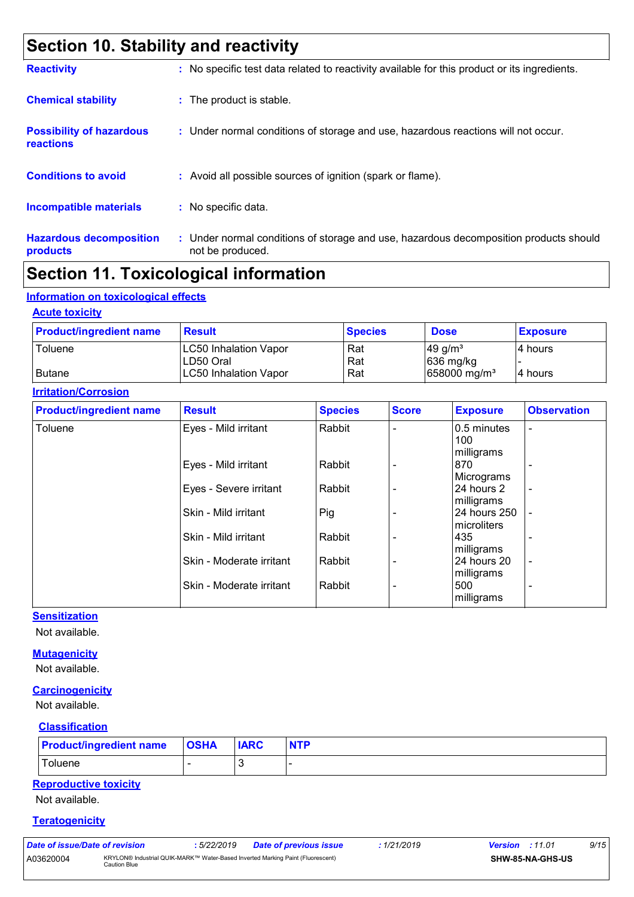# **Section 10. Stability and reactivity**

| <b>Reactivity</b>                                   | : No specific test data related to reactivity available for this product or its ingredients.              |
|-----------------------------------------------------|-----------------------------------------------------------------------------------------------------------|
| <b>Chemical stability</b>                           | : The product is stable.                                                                                  |
| <b>Possibility of hazardous</b><br><b>reactions</b> | : Under normal conditions of storage and use, hazardous reactions will not occur.                         |
| <b>Conditions to avoid</b>                          | : Avoid all possible sources of ignition (spark or flame).                                                |
| <b>Incompatible materials</b>                       | : No specific data.                                                                                       |
| <b>Hazardous decomposition</b><br>products          | : Under normal conditions of storage and use, hazardous decomposition products should<br>not be produced. |

## **Section 11. Toxicological information**

### **Information on toxicological effects**

### **Acute toxicity**

| <b>Product/ingredient name</b> | <b>Result</b>                | <b>Species</b> | <b>Dose</b>              | <b>Exposure</b> |
|--------------------------------|------------------------------|----------------|--------------------------|-----------------|
| Toluene                        | <b>LC50 Inhalation Vapor</b> | Rat            | 49 g/ $m3$               | 14 hours        |
|                                | LD50 Oral                    | Rat            | $ 636 \text{ mg/kg} $    |                 |
| <b>Butane</b>                  | <b>LC50 Inhalation Vapor</b> | Rat            | $ 658000 \text{ mg/m}^3$ | 14 hours        |

### **Irritation/Corrosion**

| <b>Product/ingredient name</b> | <b>Result</b>            | <b>Species</b> | <b>Score</b> | <b>Exposure</b>            | <b>Observation</b>       |
|--------------------------------|--------------------------|----------------|--------------|----------------------------|--------------------------|
| Toluene                        | Eyes - Mild irritant     | Rabbit         |              | 0.5 minutes<br>100         | $\overline{\phantom{a}}$ |
|                                | Eyes - Mild irritant     | Rabbit         |              | milligrams<br>870          |                          |
|                                |                          |                |              | Micrograms                 | $\overline{\phantom{0}}$ |
|                                | Eyes - Severe irritant   | Rabbit         |              | 24 hours 2                 | $\overline{\phantom{a}}$ |
|                                | Skin - Mild irritant     | Pig            |              | milligrams<br>24 hours 250 | $\blacksquare$           |
|                                | Skin - Mild irritant     |                |              | microliters<br>435         |                          |
|                                |                          | Rabbit         |              | milligrams                 | ۰                        |
|                                | Skin - Moderate irritant | Rabbit         |              | 24 hours 20                | $\overline{\phantom{a}}$ |
|                                | Skin - Moderate irritant | Rabbit         |              | milligrams<br>500          | $\overline{\phantom{0}}$ |
|                                |                          |                |              | milligrams                 |                          |

### **Sensitization**

Not available.

### **Mutagenicity**

Not available.

### **Carcinogenicity**

Not available.

#### **Classification**

| <b>Product/ingredient name   OSHA</b> | <b>IARC</b> | <b>NTP</b> |
|---------------------------------------|-------------|------------|
| Toluene                               |             |            |

### **Reproductive toxicity**

Not available.

#### **Teratogenicity**

| ale VI Issue/Dale VI I evision |                                              |
|--------------------------------|----------------------------------------------|
| 03620004                       | <b>KRYLON®</b> Industrial OI<br>Caution Blue |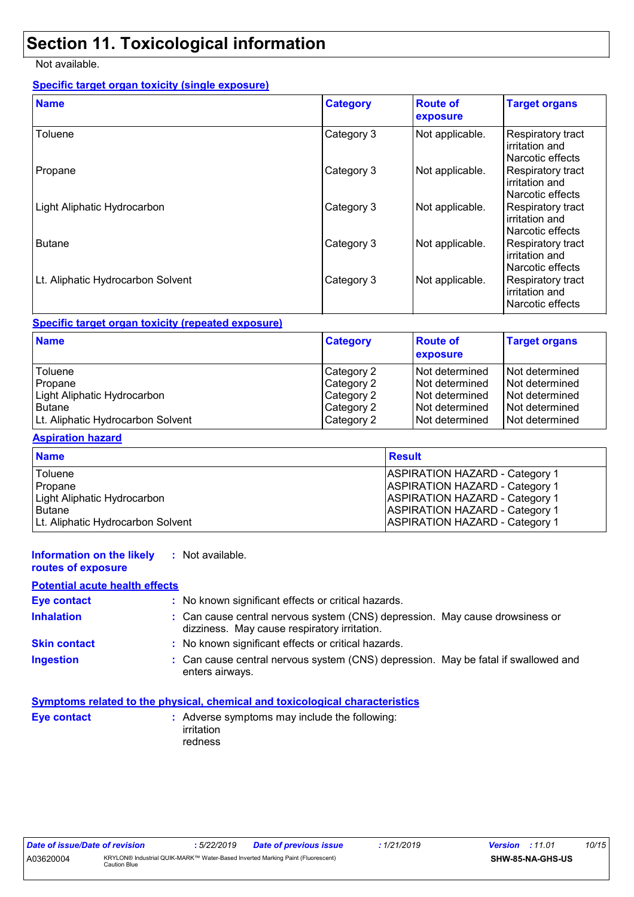# **Section 11. Toxicological information**

Not available.

### **Specific target organ toxicity (single exposure)**

| <b>Name</b>                       | <b>Category</b> | <b>Route of</b><br>exposure | <b>Target organs</b>                                    |
|-----------------------------------|-----------------|-----------------------------|---------------------------------------------------------|
| Toluene                           | Category 3      | Not applicable.             | Respiratory tract<br>irritation and<br>Narcotic effects |
| Propane                           | Category 3      | Not applicable.             | Respiratory tract<br>irritation and<br>Narcotic effects |
| Light Aliphatic Hydrocarbon       | Category 3      | Not applicable.             | Respiratory tract<br>irritation and<br>Narcotic effects |
| <b>Butane</b>                     | Category 3      | Not applicable.             | Respiratory tract<br>irritation and<br>Narcotic effects |
| Lt. Aliphatic Hydrocarbon Solvent | Category 3      | Not applicable.             | Respiratory tract<br>irritation and<br>Narcotic effects |

### **Specific target organ toxicity (repeated exposure)**

| <b>Name</b>                       | <b>Category</b> | <b>Route of</b><br>exposure | <b>Target organs</b> |
|-----------------------------------|-----------------|-----------------------------|----------------------|
| Toluene                           | Category 2      | INot determined             | Not determined       |
| Propane                           | Category 2      | INot determined             | Not determined       |
| Light Aliphatic Hydrocarbon       | Category 2      | INot determined             | Not determined       |
| <b>Butane</b>                     | Category 2      | INot determined             | Not determined       |
| Lt. Aliphatic Hydrocarbon Solvent | Category 2      | INot determined             | Not determined       |

### **Aspiration hazard**

| <b>Name</b>                       | <b>Result</b>                         |
|-----------------------------------|---------------------------------------|
| Toluene                           | <b>ASPIRATION HAZARD - Category 1</b> |
| <b>I</b> Propane                  | <b>ASPIRATION HAZARD - Category 1</b> |
| Light Aliphatic Hydrocarbon       | <b>ASPIRATION HAZARD - Category 1</b> |
| <b>Butane</b>                     | <b>ASPIRATION HAZARD - Category 1</b> |
| Lt. Aliphatic Hydrocarbon Solvent | <b>ASPIRATION HAZARD - Category 1</b> |

#### **Information on the likely :** Not available.

## **routes of exposure**

### **Potential acute health effects**

| <b>Eye contact</b>  | : No known significant effects or critical hazards.                                                                          |  |
|---------------------|------------------------------------------------------------------------------------------------------------------------------|--|
| <b>Inhalation</b>   | : Can cause central nervous system (CNS) depression. May cause drowsiness or<br>dizziness. May cause respiratory irritation. |  |
| <b>Skin contact</b> | : No known significant effects or critical hazards.                                                                          |  |
| <b>Ingestion</b>    | : Can cause central nervous system (CNS) depression. May be fatal if swallowed and<br>enters airways.                        |  |

### **Symptoms related to the physical, chemical and toxicological characteristics**

| : Adverse symptoms may include the following: |
|-----------------------------------------------|
| irritation                                    |
| redness                                       |
|                                               |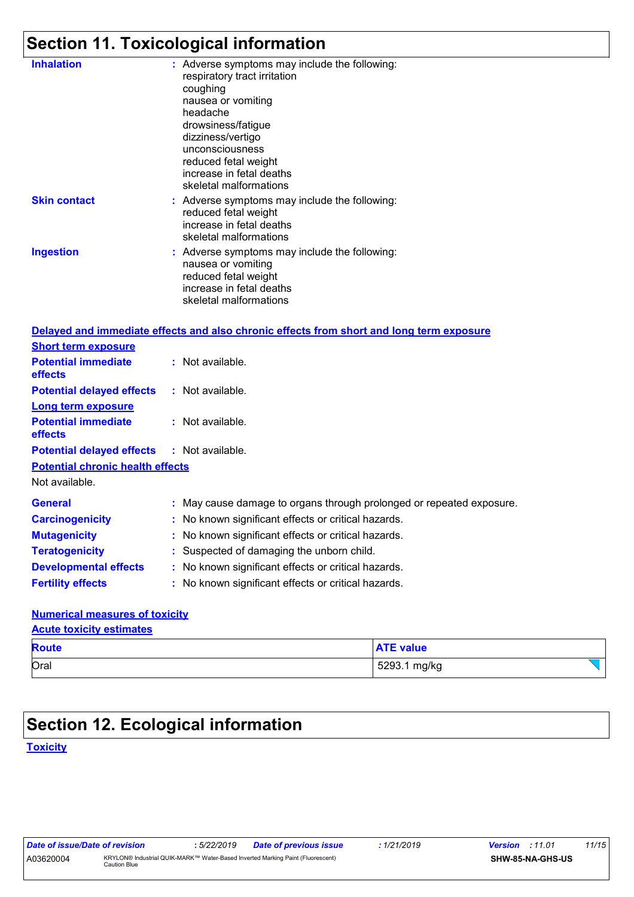# **Section 11. Toxicological information**

| <b>Inhalation</b>                       | : Adverse symptoms may include the following:<br>respiratory tract irritation<br>coughing<br>nausea or vomiting<br>headache<br>drowsiness/fatigue<br>dizziness/vertigo<br>unconsciousness<br>reduced fetal weight<br>increase in fetal deaths |
|-----------------------------------------|-----------------------------------------------------------------------------------------------------------------------------------------------------------------------------------------------------------------------------------------------|
|                                         | skeletal malformations                                                                                                                                                                                                                        |
| <b>Skin contact</b>                     | : Adverse symptoms may include the following:<br>reduced fetal weight<br>increase in fetal deaths<br>skeletal malformations                                                                                                                   |
| <b>Ingestion</b>                        | : Adverse symptoms may include the following:<br>nausea or vomiting<br>reduced fetal weight<br>increase in fetal deaths<br>skeletal malformations                                                                                             |
|                                         | Delayed and immediate effects and also chronic effects from short and long term exposure                                                                                                                                                      |
| <b>Short term exposure</b>              |                                                                                                                                                                                                                                               |
| <b>Potential immediate</b><br>effects   | : Not available.                                                                                                                                                                                                                              |
| <b>Potential delayed effects</b>        | : Not available.                                                                                                                                                                                                                              |
| <b>Long term exposure</b>               |                                                                                                                                                                                                                                               |
| <b>Potential immediate</b><br>effects   | : Not available.                                                                                                                                                                                                                              |
| <b>Potential delayed effects</b>        | : Not available.                                                                                                                                                                                                                              |
| <b>Potential chronic health effects</b> |                                                                                                                                                                                                                                               |
| Not available.                          |                                                                                                                                                                                                                                               |
| <b>General</b>                          | : May cause damage to organs through prolonged or repeated exposure.                                                                                                                                                                          |
| <b>Carcinogenicity</b>                  | : No known significant effects or critical hazards.                                                                                                                                                                                           |
| <b>Mutagenicity</b>                     | No known significant effects or critical hazards.                                                                                                                                                                                             |
| <b>Teratogenicity</b>                   | : Suspected of damaging the unborn child.                                                                                                                                                                                                     |
| <b>Developmental effects</b>            | : No known significant effects or critical hazards.                                                                                                                                                                                           |
| <b>Fertility effects</b>                | : No known significant effects or critical hazards.                                                                                                                                                                                           |
| Numorical mossures of toxicity          |                                                                                                                                                                                                                                               |

### **Numerical measures of toxicity**

#### **Acute toxicity estimates**

| <b>Route</b> | <b>ATE value</b> |
|--------------|------------------|
| Oral         | 5293.1 mg/kg     |

# **Section 12. Ecological information**

**Toxicity**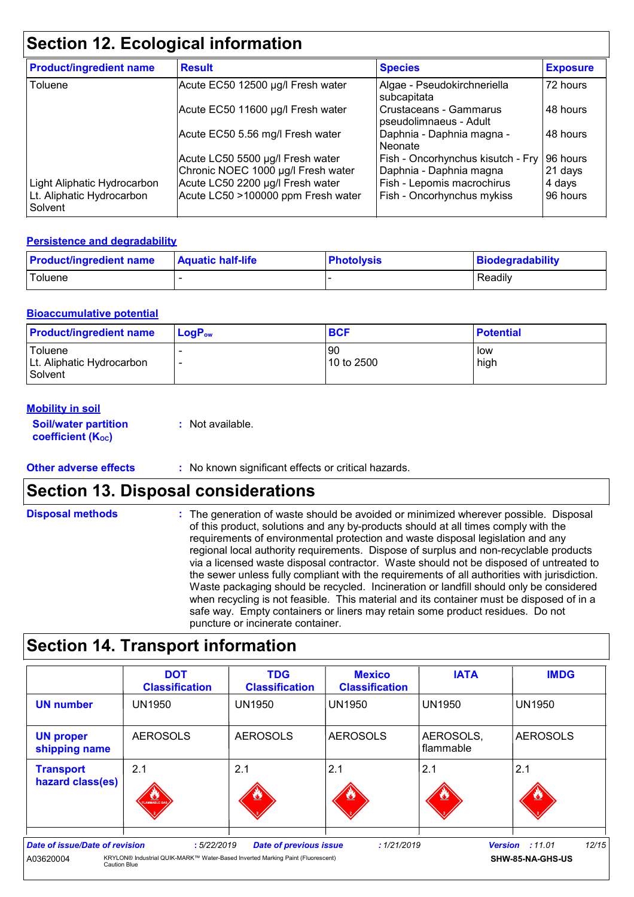# **Section 12. Ecological information**

| <b>Product/ingredient name</b>       | <b>Result</b>                      | <b>Species</b>                                   | <b>Exposure</b> |
|--------------------------------------|------------------------------------|--------------------------------------------------|-----------------|
| Toluene                              | Acute EC50 12500 µg/l Fresh water  | Algae - Pseudokirchneriella<br>subcapitata       | 72 hours        |
|                                      | Acute EC50 11600 µg/l Fresh water  | Crustaceans - Gammarus<br>pseudolimnaeus - Adult | 48 hours        |
|                                      | Acute EC50 5.56 mg/l Fresh water   | Daphnia - Daphnia magna -<br>Neonate             | 48 hours        |
|                                      | Acute LC50 5500 µg/l Fresh water   | Fish - Oncorhynchus kisutch - Fry                | 96 hours        |
|                                      | Chronic NOEC 1000 µg/l Fresh water | Daphnia - Daphnia magna                          | $21$ days       |
| Light Aliphatic Hydrocarbon          | Acute LC50 2200 µg/l Fresh water   | Fish - Lepomis macrochirus                       | 4 days          |
| Lt. Aliphatic Hydrocarbon<br>Solvent | Acute LC50 >100000 ppm Fresh water | Fish - Oncorhynchus mykiss                       | 96 hours        |

### **Persistence and degradability**

| <b>Product/ingredient name</b> | <b>Aquatic half-life</b> | <b>Photolysis</b> | Biodegradability |
|--------------------------------|--------------------------|-------------------|------------------|
| Toluene                        |                          |                   | Readily          |

### **Bioaccumulative potential**

| <b>Product/ingredient name</b>                  | $LoaPow$ | <b>BCF</b>       | <b>Potential</b> |
|-------------------------------------------------|----------|------------------|------------------|
| Toluene<br>Lt. Aliphatic Hydrocarbon<br>Solvent |          | 90<br>10 to 2500 | low<br>high      |

### **Mobility in soil**

| <b>Soil/water partition</b>    | : Not available. |
|--------------------------------|------------------|
| coefficient (K <sub>oc</sub> ) |                  |

#### **Other adverse effects** : No known significant effects or critical hazards.

## **Section 13. Disposal considerations**

| <b>Disposal methods</b> | : The generation of waste should be avoided or minimized wherever possible. Disposal<br>of this product, solutions and any by-products should at all times comply with the<br>requirements of environmental protection and waste disposal legislation and any<br>regional local authority requirements. Dispose of surplus and non-recyclable products<br>via a licensed waste disposal contractor. Waste should not be disposed of untreated to<br>the sewer unless fully compliant with the requirements of all authorities with jurisdiction.<br>Waste packaging should be recycled. Incineration or landfill should only be considered<br>when recycling is not feasible. This material and its container must be disposed of in a<br>safe way. Empty containers or liners may retain some product residues. Do not |
|-------------------------|-------------------------------------------------------------------------------------------------------------------------------------------------------------------------------------------------------------------------------------------------------------------------------------------------------------------------------------------------------------------------------------------------------------------------------------------------------------------------------------------------------------------------------------------------------------------------------------------------------------------------------------------------------------------------------------------------------------------------------------------------------------------------------------------------------------------------|
|                         | puncture or incinerate container.                                                                                                                                                                                                                                                                                                                                                                                                                                                                                                                                                                                                                                                                                                                                                                                       |

# **Section 14. Transport information**

|                                                                           | <b>DOT</b><br><b>Classification</b>                                                          | <b>TDG</b><br><b>Classification</b> | <b>Mexico</b><br><b>Classification</b> | <b>IATA</b>            | <b>IMDG</b>                                         |
|---------------------------------------------------------------------------|----------------------------------------------------------------------------------------------|-------------------------------------|----------------------------------------|------------------------|-----------------------------------------------------|
| <b>UN number</b>                                                          | <b>UN1950</b>                                                                                | <b>UN1950</b>                       | <b>UN1950</b>                          | <b>UN1950</b>          | <b>UN1950</b>                                       |
| <b>UN proper</b><br>shipping name                                         | <b>AEROSOLS</b>                                                                              | <b>AEROSOLS</b>                     | <b>AEROSOLS</b>                        | AEROSOLS,<br>flammable | <b>AEROSOLS</b>                                     |
| <b>Transport</b><br>hazard class(es)                                      | 2.1<br>FLAMMABLE GA                                                                          | 2.1                                 | 2.1                                    | 2.1                    | 2.1                                                 |
| <b>Date of issue/Date of revision</b><br>A03620004<br><b>Caution Blue</b> | :5/22/2019<br>KRYLON® Industrial QUIK-MARK™ Water-Based Inverted Marking Paint (Fluorescent) | <b>Date of previous issue</b>       | : 1/21/2019                            |                        | 12/15<br><b>Version : 11.01</b><br>SHW-85-NA-GHS-US |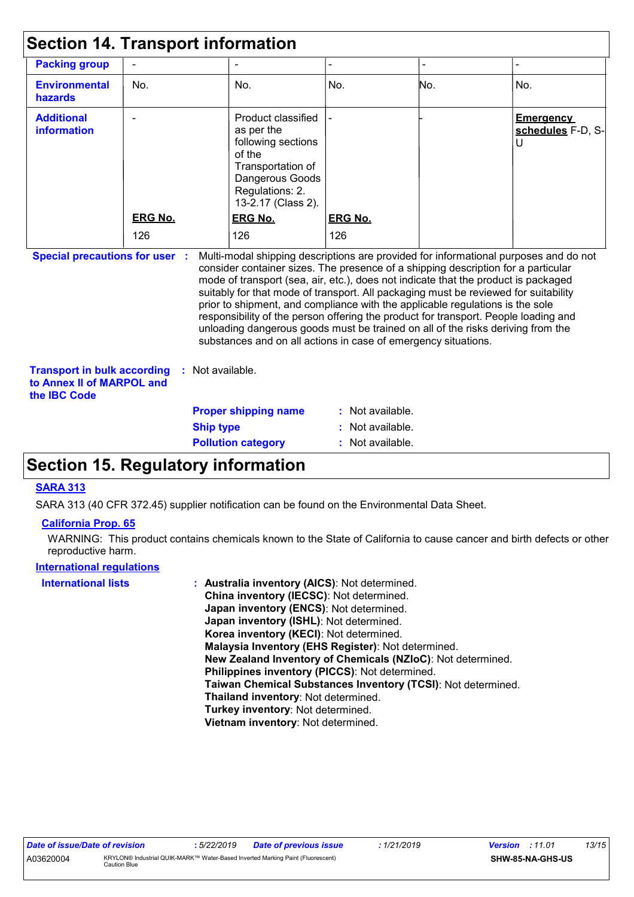| <b>Section 14. Transport information</b>                                        |                  |                  |                                                                                                                                                                                                                                                                                                                                                                                                                                                                                                                                                                                                                                                                                     |                |     |                                                       |
|---------------------------------------------------------------------------------|------------------|------------------|-------------------------------------------------------------------------------------------------------------------------------------------------------------------------------------------------------------------------------------------------------------------------------------------------------------------------------------------------------------------------------------------------------------------------------------------------------------------------------------------------------------------------------------------------------------------------------------------------------------------------------------------------------------------------------------|----------------|-----|-------------------------------------------------------|
| <b>Packing group</b>                                                            |                  |                  |                                                                                                                                                                                                                                                                                                                                                                                                                                                                                                                                                                                                                                                                                     |                |     |                                                       |
| <b>Environmental</b><br>hazards                                                 | No.              |                  | No.                                                                                                                                                                                                                                                                                                                                                                                                                                                                                                                                                                                                                                                                                 | No.            | No. | No.                                                   |
| <b>Additional</b><br>information                                                |                  |                  | Product classified<br>as per the<br>following sections<br>of the<br>Transportation of<br>Dangerous Goods<br>Regulations: 2.<br>13-2.17 (Class 2).                                                                                                                                                                                                                                                                                                                                                                                                                                                                                                                                   |                |     | <b>Emergency</b><br>schedules F-D, S-<br>$\mathsf{U}$ |
|                                                                                 | <b>ERG No.</b>   |                  | ERG No.                                                                                                                                                                                                                                                                                                                                                                                                                                                                                                                                                                                                                                                                             | <b>ERG No.</b> |     |                                                       |
|                                                                                 | 126              |                  | 126                                                                                                                                                                                                                                                                                                                                                                                                                                                                                                                                                                                                                                                                                 | 126            |     |                                                       |
| <b>Special precautions for user :</b>                                           |                  |                  | Multi-modal shipping descriptions are provided for informational purposes and do not<br>consider container sizes. The presence of a shipping description for a particular<br>mode of transport (sea, air, etc.), does not indicate that the product is packaged<br>suitably for that mode of transport. All packaging must be reviewed for suitability<br>prior to shipment, and compliance with the applicable regulations is the sole<br>responsibility of the person offering the product for transport. People loading and<br>unloading dangerous goods must be trained on all of the risks deriving from the<br>substances and on all actions in case of emergency situations. |                |     |                                                       |
| <b>Transport in bulk according</b><br>to Annex II of MARPOL and<br>the IBC Code |                  | : Not available. |                                                                                                                                                                                                                                                                                                                                                                                                                                                                                                                                                                                                                                                                                     |                |     |                                                       |
|                                                                                 |                  |                  | <b>Proper shipping name</b>                                                                                                                                                                                                                                                                                                                                                                                                                                                                                                                                                                                                                                                         | Not available. |     |                                                       |
|                                                                                 | <b>Ship type</b> |                  |                                                                                                                                                                                                                                                                                                                                                                                                                                                                                                                                                                                                                                                                                     | Not available. |     |                                                       |
|                                                                                 |                  |                  | <b>Pollution category</b>                                                                                                                                                                                                                                                                                                                                                                                                                                                                                                                                                                                                                                                           | Not available. |     |                                                       |

# **Section 15. Regulatory information**

### **SARA 313**

SARA 313 (40 CFR 372.45) supplier notification can be found on the Environmental Data Sheet.

#### **California Prop. 65**

WARNING: This product contains chemicals known to the State of California to cause cancer and birth defects or other reproductive harm.

#### **International regulations**

| <b>International lists</b> | : Australia inventory (AICS): Not determined.                |
|----------------------------|--------------------------------------------------------------|
|                            | China inventory (IECSC): Not determined.                     |
|                            | Japan inventory (ENCS): Not determined.                      |
|                            | Japan inventory (ISHL): Not determined.                      |
|                            | Korea inventory (KECI): Not determined.                      |
|                            | Malaysia Inventory (EHS Register): Not determined.           |
|                            | New Zealand Inventory of Chemicals (NZIoC): Not determined.  |
|                            | Philippines inventory (PICCS): Not determined.               |
|                            | Taiwan Chemical Substances Inventory (TCSI): Not determined. |
|                            | Thailand inventory: Not determined.                          |
|                            | Turkey inventory: Not determined.                            |
|                            | Vietnam inventory: Not determined.                           |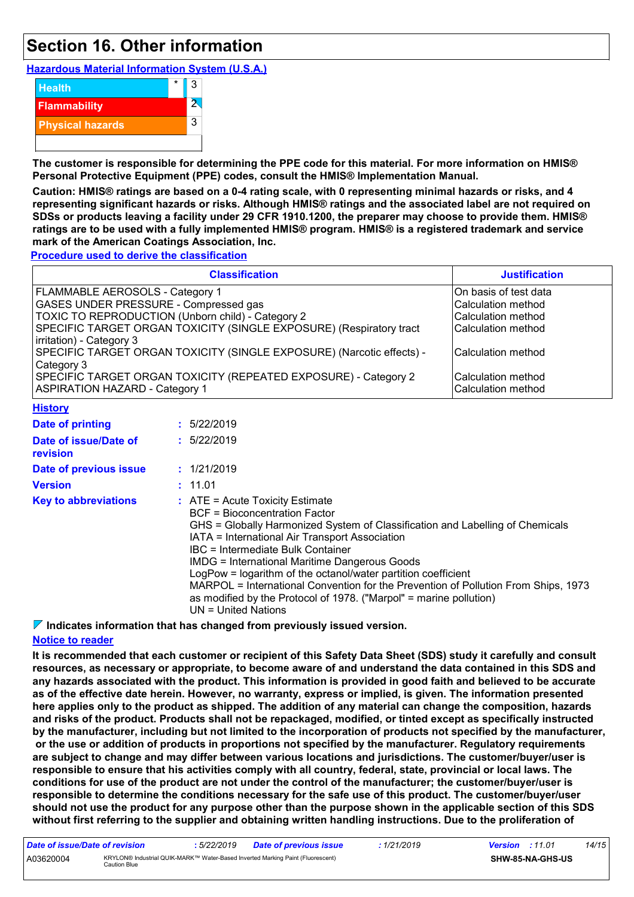# **Section 16. Other information**

**Hazardous Material Information System (U.S.A.)**



**The customer is responsible for determining the PPE code for this material. For more information on HMIS® Personal Protective Equipment (PPE) codes, consult the HMIS® Implementation Manual.**

**Caution: HMIS® ratings are based on a 0-4 rating scale, with 0 representing minimal hazards or risks, and 4 representing significant hazards or risks. Although HMIS® ratings and the associated label are not required on SDSs or products leaving a facility under 29 CFR 1910.1200, the preparer may choose to provide them. HMIS® ratings are to be used with a fully implemented HMIS® program. HMIS® is a registered trademark and service mark of the American Coatings Association, Inc.**

**Procedure used to derive the classification**

| <b>Classification</b>                                                 | <b>Justification</b>  |
|-----------------------------------------------------------------------|-----------------------|
| FLAMMABLE AEROSOLS - Category 1                                       | On basis of test data |
| <b>GASES UNDER PRESSURE - Compressed gas</b>                          | Calculation method    |
| TOXIC TO REPRODUCTION (Unborn child) - Category 2                     | Calculation method    |
| SPECIFIC TARGET ORGAN TOXICITY (SINGLE EXPOSURE) (Respiratory tract   | Calculation method    |
| irritation) - Category 3                                              |                       |
| SPECIFIC TARGET ORGAN TOXICITY (SINGLE EXPOSURE) (Narcotic effects) - | Calculation method    |
| Category 3                                                            |                       |
| SPECIFIC TARGET ORGAN TOXICITY (REPEATED EXPOSURE) - Category 2       | Calculation method    |
| <b>ASPIRATION HAZARD - Category 1</b>                                 | Calculation method    |
|                                                                       |                       |

| <b>History</b>                    |                                                                                                                                                  |                                                                                                                                                                                                                                                                                                                                                                                                                      |
|-----------------------------------|--------------------------------------------------------------------------------------------------------------------------------------------------|----------------------------------------------------------------------------------------------------------------------------------------------------------------------------------------------------------------------------------------------------------------------------------------------------------------------------------------------------------------------------------------------------------------------|
| <b>Date of printing</b>           | : 5/22/2019                                                                                                                                      |                                                                                                                                                                                                                                                                                                                                                                                                                      |
| Date of issue/Date of<br>revision | : 5/22/2019                                                                                                                                      |                                                                                                                                                                                                                                                                                                                                                                                                                      |
| Date of previous issue            | : 1/21/2019                                                                                                                                      |                                                                                                                                                                                                                                                                                                                                                                                                                      |
| <b>Version</b>                    | : 11.01                                                                                                                                          |                                                                                                                                                                                                                                                                                                                                                                                                                      |
| <b>Key to abbreviations</b>       | $\therefore$ ATE = Acute Toxicity Estimate<br><b>BCF</b> = Bioconcentration Factor<br>IBC = Intermediate Bulk Container<br>$UN = United Nations$ | GHS = Globally Harmonized System of Classification and Labelling of Chemicals<br>IATA = International Air Transport Association<br><b>IMDG = International Maritime Dangerous Goods</b><br>LogPow = logarithm of the octanol/water partition coefficient<br>MARPOL = International Convention for the Prevention of Pollution From Ships, 1973<br>as modified by the Protocol of 1978. ("Marpol" = marine pollution) |

**Indicates information that has changed from previously issued version.**

#### **Notice to reader**

**It is recommended that each customer or recipient of this Safety Data Sheet (SDS) study it carefully and consult resources, as necessary or appropriate, to become aware of and understand the data contained in this SDS and any hazards associated with the product. This information is provided in good faith and believed to be accurate as of the effective date herein. However, no warranty, express or implied, is given. The information presented here applies only to the product as shipped. The addition of any material can change the composition, hazards and risks of the product. Products shall not be repackaged, modified, or tinted except as specifically instructed by the manufacturer, including but not limited to the incorporation of products not specified by the manufacturer, or the use or addition of products in proportions not specified by the manufacturer. Regulatory requirements are subject to change and may differ between various locations and jurisdictions. The customer/buyer/user is responsible to ensure that his activities comply with all country, federal, state, provincial or local laws. The conditions for use of the product are not under the control of the manufacturer; the customer/buyer/user is responsible to determine the conditions necessary for the safe use of this product. The customer/buyer/user should not use the product for any purpose other than the purpose shown in the applicable section of this SDS without first referring to the supplier and obtaining written handling instructions. Due to the proliferation of**